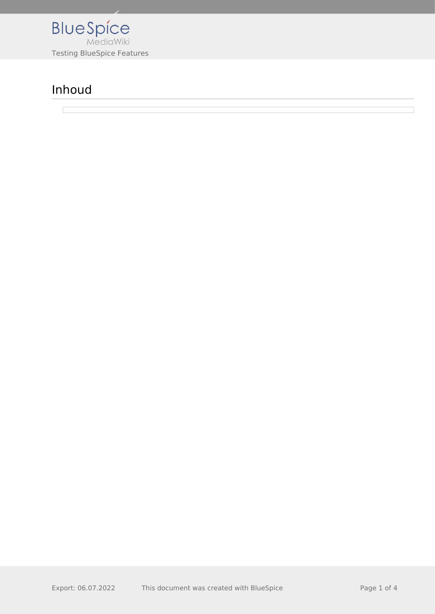

## Inhoud

 $\sqrt{2}$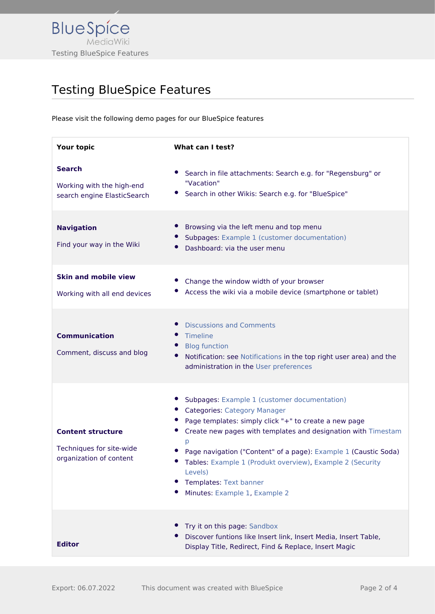

## Testing BlueSpice Features

Please visit the following demo pages for our BlueSpice features

| Your topic                                                                      | What can I test?                                                                                                                                                                                                                                                                                                                                                                                                         |
|---------------------------------------------------------------------------------|--------------------------------------------------------------------------------------------------------------------------------------------------------------------------------------------------------------------------------------------------------------------------------------------------------------------------------------------------------------------------------------------------------------------------|
| <b>Search</b><br>Working with the high-end<br>search engine ElasticSearch       | Search in file attachments: Search e.g. for "Regensburg" or<br>"Vacation"<br>Search in other Wikis: Search e.g. for "BlueSpice"                                                                                                                                                                                                                                                                                          |
| <b>Navigation</b><br>Find your way in the Wiki                                  | Browsing via the left menu and top menu<br>Subpages: Example 1 (customer documentation)<br>Dashboard: via the user menu                                                                                                                                                                                                                                                                                                  |
| <b>Skin and mobile view</b><br>Working with all end devices                     | Change the window width of your browser<br>Access the wiki via a mobile device (smartphone or tablet)                                                                                                                                                                                                                                                                                                                    |
| <b>Communication</b><br>Comment, discuss and blog                               | <b>Discussions and Comments</b><br>Timeline<br><b>Blog function</b><br>Notification: see Notifications in the top right user area) and the<br>administration in the User preferences                                                                                                                                                                                                                                     |
| <b>Content structure</b><br>Techniques for site-wide<br>organization of content | Subpages: Example 1 (customer documentation)<br><b>Categories: Category Manager</b><br>Page templates: simply click "+" to create a new page<br>Create new pages with templates and designation with Timestam<br>p<br>Page navigation ("Content" of a page): Example 1 (Caustic Soda)<br>Tables: Example 1 (Produkt overview), Example 2 (Security<br>Levels)<br>Templates: Text banner<br>Minutes: Example 1, Example 2 |
| <b>Editor</b>                                                                   | Try it on this page: Sandbox<br>Discover funtions like Insert link, Insert Media, Insert Table,<br>Display Title, Redirect, Find & Replace, Insert Magic                                                                                                                                                                                                                                                                 |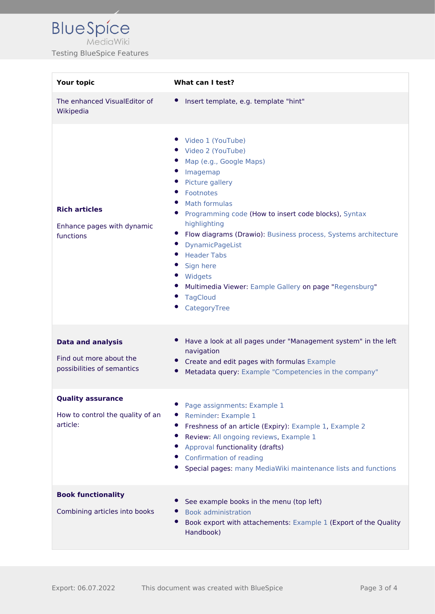| <b>Your topic</b>                                                                 | What can I test?                                                                                                                                                                                                                                                                                                                                                                                                                                                                 |
|-----------------------------------------------------------------------------------|----------------------------------------------------------------------------------------------------------------------------------------------------------------------------------------------------------------------------------------------------------------------------------------------------------------------------------------------------------------------------------------------------------------------------------------------------------------------------------|
| The enhanced VisualEditor of<br>Wikipedia                                         | Insert template, e.g. template "hint"<br>$\bullet$                                                                                                                                                                                                                                                                                                                                                                                                                               |
| <b>Rich articles</b><br>Enhance pages with dynamic<br>functions                   | Video 1 (YouTube)<br>• Video 2 (YouTube)<br>Map (e.g., Google Maps)<br>Imagemap<br>$\bullet$<br>Picture gallery<br>Footnotes<br><b>Math formulas</b><br>Programming code (How to insert code blocks), Syntax<br>highlighting<br>Flow diagrams (Drawio): Business process, Systems architecture<br>$\bullet$<br><b>DynamicPageList</b><br><b>Header Tabs</b><br>Sign here<br>Widgets<br>Multimedia Viewer: Eample Gallery on page "Regensburg"<br><b>TagCloud</b><br>CategoryTree |
| <b>Data and analysis</b><br>Find out more about the<br>possibilities of semantics | Have a look at all pages under "Management system" in the left<br>navigation<br>Create and edit pages with formulas Example<br>Metadata query: Example "Competencies in the company"                                                                                                                                                                                                                                                                                             |
| <b>Quality assurance</b><br>How to control the quality of an<br>article:          | Page assignments: Example 1<br>Reminder: Example 1<br>Freshness of an article (Expiry): Example 1, Example 2<br>Review: All ongoing reviews, Example 1<br>Approval functionality (drafts)<br>Confirmation of reading<br>Special pages: many MediaWiki maintenance lists and functions                                                                                                                                                                                            |
| <b>Book functionality</b><br>Combining articles into books                        | See example books in the menu (top left)<br><b>Book administration</b><br>Book export with attachements: Example 1 (Export of the Quality<br>Handbook)                                                                                                                                                                                                                                                                                                                           |